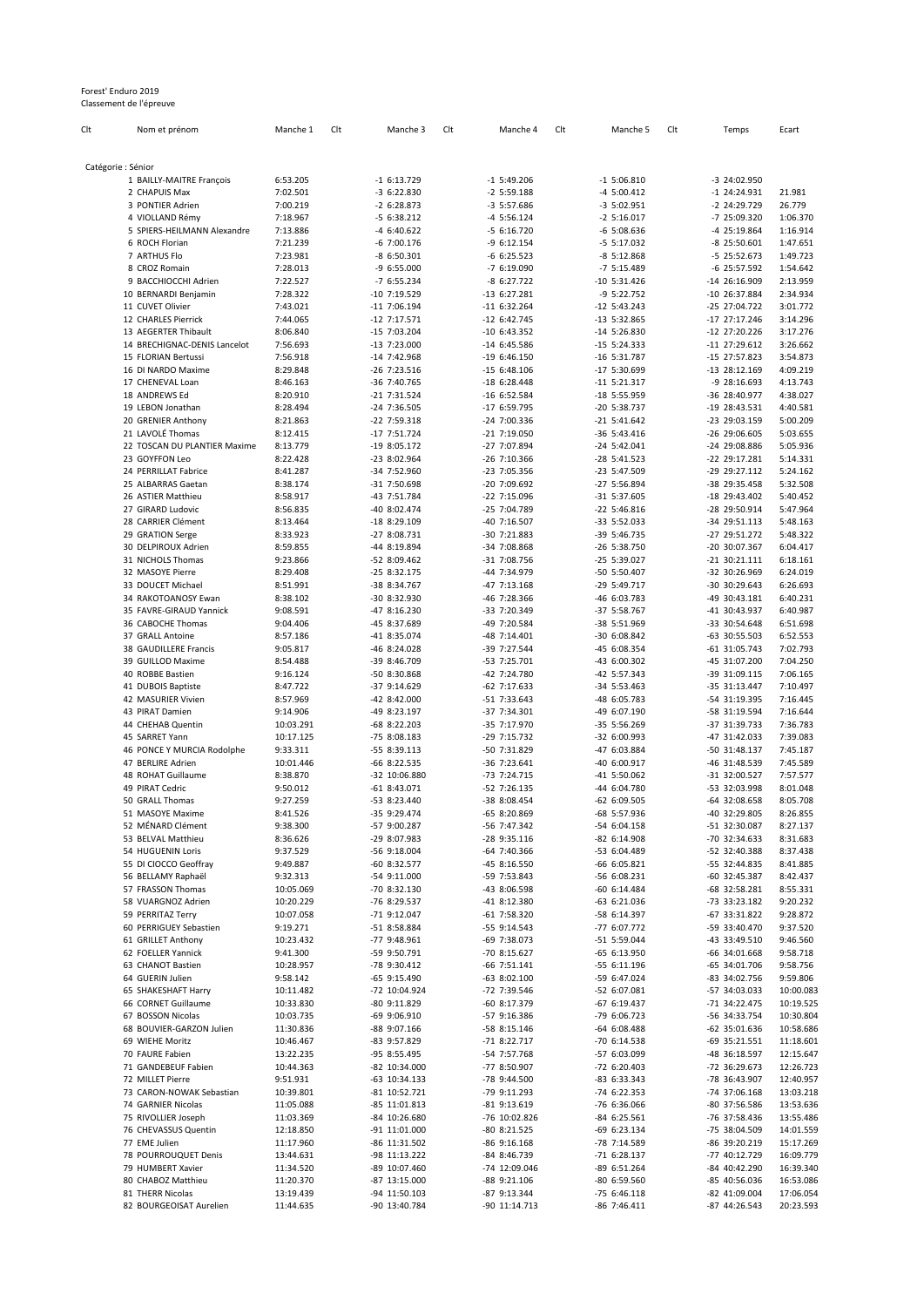## Forest' Enduro 2019 Classement de l'épreuve

| Clt                | Nom et prénom                               | Manche 1               | Clt | Manche 3                      | Clt | Manche 4                       | Clt | Manche 5                       | Clt | Temps                          | Ecart                |
|--------------------|---------------------------------------------|------------------------|-----|-------------------------------|-----|--------------------------------|-----|--------------------------------|-----|--------------------------------|----------------------|
|                    |                                             |                        |     |                               |     |                                |     |                                |     |                                |                      |
| Catégorie : Sénior |                                             |                        |     |                               |     |                                |     |                                |     |                                |                      |
|                    | 1 BAILLY-MAITRE François                    | 6:53.205               |     | $-16:13.729$                  |     | $-1$ 5:49.206                  |     | $-1$ 5:06.810                  |     | -3 24:02.950                   |                      |
|                    | 2 CHAPUIS Max<br>3 PONTIER Adrien           | 7:02.501<br>7:00.219   |     | $-36:22.830$<br>$-26:28.873$  |     | $-2$ 5:59.188<br>$-3$ 5:57.686 |     | $-4$ 5:00.412<br>$-3$ 5:02.951 |     | $-1$ 24:24.931<br>-2 24:29.729 | 21.981<br>26.779     |
|                    | 4 VIOLLAND Rémy                             | 7:18.967               |     | $-56:38.212$                  |     | $-4$ 5:56.124                  |     | $-2$ 5:16.017                  |     | -7 25:09.320                   | 1:06.370             |
|                    | 5 SPIERS-HEILMANN Alexandre                 | 7:13.886               |     | -4 6:40.622                   |     | $-56:16.720$                   |     | $-6$ 5:08.636                  |     | -4 25:19.864                   | 1:16.914             |
|                    | 6 ROCH Florian                              | 7:21.239               |     | $-6$ 7:00.176                 |     | $-96:12.154$                   |     | $-5$ 5:17.032                  |     | $-8$ 25:50.601                 | 1:47.651             |
|                    | 7 ARTHUS Flo                                | 7:23.981               |     | $-86:50.301$                  |     | $-66:25.523$                   |     | $-8$ 5:12.868                  |     | -5 25:52.673                   | 1:49.723             |
|                    | 8 CROZ Romain                               | 7:28.013               |     | $-96:55.000$                  |     | $-76:19.090$                   |     | $-7$ 5:15.489                  |     | -6 25:57.592                   | 1:54.642             |
|                    | 9 BACCHIOCCHI Adrien                        | 7:22.527               |     | $-76:55.234$                  |     | $-86:27.722$                   |     | $-10$ 5:31.426                 |     | -14 26:16.909                  | 2:13.959             |
|                    | 10 BERNARDI Benjamin                        | 7:28.322               |     | -10 7:19.529                  |     | $-13$ 6:27.281                 |     | $-9$ 5:22.752                  |     | -10 26:37.884                  | 2:34.934             |
|                    | 11 CUVET Olivier                            | 7:43.021               |     | $-11$ 7:06.194                |     | $-11$ 6:32.264                 |     | $-12$ 5:43.243                 |     | -25 27:04.722                  | 3:01.772             |
|                    | 12 CHARLES Pierrick                         | 7:44.065               |     | $-12$ 7:17.571                |     | $-12$ 6:42.745                 |     | $-13$ 5:32.865                 |     | -17 27:17.246                  | 3:14.296             |
|                    | 13 AEGERTER Thibault                        | 8:06.840               |     | $-15$ 7:03.204                |     | $-10$ 6:43.352                 |     | $-14$ 5:26.830                 |     | -12 27:20.226                  | 3:17.276             |
|                    | 14 BRECHIGNAC-DENIS Lancelot                | 7:56.693               |     | $-13$ 7:23.000                |     | $-14$ 6:45.586                 |     | $-15$ 5:24.333                 |     | $-11$ 27:29.612                | 3:26.662             |
|                    | 15 FLORIAN Bertussi                         | 7:56.918               |     | $-14$ 7:42.968                |     | $-196:36.150$                  |     | $-16$ 5:31.787                 |     | -15 27:57.823                  | 3:54.873             |
|                    | 16 DI NARDO Maxime                          | 8:29.848               |     | $-26$ 7:23.516                |     | $-15$ 6:48.106                 |     | -17 5:30.699                   |     | -13 28:12.169                  | 4:09.219             |
|                    | 17 CHENEVAL Loan                            | 8:46.163               |     | -36 7:40.765                  |     | $-18$ 6:28.448                 |     | $-11$ 5:21.317                 |     | -9 28:16.693                   | 4:13.743             |
|                    | 18 ANDREWS Ed                               | 8:20.910               |     | $-21$ 7:31.524                |     | $-16$ 6:52.584                 |     | -18 5:55.959                   |     | -36 28:40.977                  | 4:38.027             |
|                    | 19 LEBON Jonathan                           | 8:28.494               |     | -24 7:36.505                  |     | -17 6:59.795                   |     | -20 5:38.737                   |     | -19 28:43.531                  | 4:40.581             |
|                    | 20 GRENIER Anthony                          | 8:21.863               |     | $-22$ 7:59.318                |     | -24 7:00.336                   |     | $-21$ 5:41.642                 |     | -23 29:03.159                  | 5:00.209             |
|                    | 21 LAVOLÉ Thomas                            | 8:12.415               |     | $-177:51.724$                 |     | $-21$ 7:19.050                 |     | $-36$ 5:43.416                 |     | -26 29:06.605                  | 5:03.655             |
|                    | 22 TOSCAN DU PLANTIER Maxime                | 8:13.779               |     | $-198:05.172$                 |     | -27 7:07.894                   |     | $-24$ 5:42.041                 |     | -24 29:08.886                  | 5:05.936             |
|                    | 23 GOYFFON Leo                              | 8:22.428               |     | $-238:02.964$                 |     | -26 7:10.366                   |     | $-28$ 5:41.523                 |     | -22 29:17.281                  | 5:14.331             |
|                    | 24 PERRILLAT Fabrice                        | 8:41.287               |     | -34 7:52.960                  |     | -23 7:05.356                   |     | $-23$ 5:47.509                 |     | -29 29:27.112                  | 5:24.162             |
|                    | 25 ALBARRAS Gaetan                          | 8:38.174               |     | -31 7:50.698                  |     | -20 7:09.692                   |     | $-27$ 5:56.894                 |     | -38 29:35.458                  | 5:32.508             |
|                    | 26 ASTIER Matthieu                          | 8:58.917               |     | -43 7:51.784                  |     | $-22$ 7:15.096                 |     | $-31$ 5:37.605                 |     | -18 29:43.402                  | 5:40.452             |
|                    | 27 GIRARD Ludovic                           | 8:56.835               |     | -40 8:02.474                  |     | -25 7:04.789                   |     | $-22$ 5:46.816                 |     | -28 29:50.914                  | 5:47.964             |
|                    | 28 CARRIER Clément<br>29 GRATION Serge      | 8:13.464               |     | -18 8:29.109<br>$-278:08.731$ |     | -40 7:16.507<br>$-30$ 7:21.883 |     | -33 5:52.033                   |     | -34 29:51.113                  | 5:48.163<br>5:48.322 |
|                    | 30 DELPIROUX Adrien                         | 8:33.923<br>8:59.855   |     | -44 8:19.894                  |     | -34 7:08.868                   |     | -39 5:46.735<br>$-26$ 5:38.750 |     | -27 29:51.272<br>-20 30:07.367 | 6:04.417             |
|                    | 31 NICHOLS Thomas                           | 9:23.866               |     | -52 8:09.462                  |     | -31 7:08.756                   |     | $-25$ 5:39.027                 |     | $-21$ 30:21.111                | 6:18.161             |
|                    | 32 MASOYE Pierre                            | 8:29.408               |     | $-258:32.175$                 |     | -44 7:34.979                   |     | -50 5:50.407                   |     | -32 30:26.969                  | 6:24.019             |
|                    | 33 DOUCET Michael                           | 8:51.991               |     | -38 8:34.767                  |     | -47 7:13.168                   |     | -29 5:49.717                   |     | -30 30:29.643                  | 6:26.693             |
|                    | 34 RAKOTOANOSY Ewan                         | 8:38.102               |     | -30 8:32.930                  |     | -46 7:28.366                   |     | -46 6:03.783                   |     | -49 30:43.181                  | 6:40.231             |
|                    | 35 FAVRE-GIRAUD Yannick                     | 9:08.591               |     | -47 8:16.230                  |     | -33 7:20.349                   |     | -37 5:58.767                   |     | -41 30:43.937                  | 6:40.987             |
|                    | 36 CABOCHE Thomas                           | 9:04.406               |     | -45 8:37.689                  |     | -49 7:20.584                   |     | -38 5:51.969                   |     | -33 30:54.648                  | 6:51.698             |
|                    | 37 GRALL Antoine                            | 8:57.186               |     | -41 8:35.074                  |     | -48 7:14.401                   |     | -30 6:08.842                   |     | -63 30:55.503                  | 6:52.553             |
|                    | 38 GAUDILLERE Francis                       | 9:05.817               |     | -46 8:24.028                  |     | -39 7:27.544                   |     | -45 6:08.354                   |     | -61 31:05.743                  | 7:02.793             |
|                    | 39 GUILLOD Maxime                           | 8:54.488               |     | -39 8:46.709                  |     | -53 7:25.701                   |     | -43 6:00.302                   |     | -45 31:07.200                  | 7:04.250             |
|                    | 40 ROBBE Bastien                            | 9:16.124               |     | -50 8:30.868                  |     | -42 7:24.780                   |     | -42 5:57.343                   |     | -39 31:09.115                  | 7:06.165             |
|                    | 41 DUBOIS Baptiste                          | 8:47.722               |     | -37 9:14.629                  |     | $-62$ 7:17.633                 |     | -34 5:53.463                   |     | -35 31:13.447                  | 7:10.497             |
|                    | 42 MASURIER Vivien                          | 8:57.969               |     | -42 8:42.000                  |     | -51 7:33.643                   |     | -48 6:05.783                   |     | -54 31:19.395                  | 7:16.445             |
|                    | 43 PIRAT Damien                             | 9:14.906               |     | -49 8:23.197                  |     | -37 7:34.301                   |     | -49 6:07.190                   |     | -58 31:19.594                  | 7:16.644             |
|                    | 44 CHEHAB Quentin                           | 10:03.291              |     | -68 8:22.203                  |     | -35 7:17.970                   |     | -35 5:56.269                   |     | -37 31:39.733                  | 7:36.783             |
|                    | 45 SARRET Yann                              | 10:17.125              |     | -75 8:08.183                  |     | -29 7:15.732                   |     | -32 6:00.993                   |     | -47 31:42.033                  | 7:39.083             |
|                    | 46 PONCE Y MURCIA Rodolphe                  | 9:33.311               |     | $-558:39.113$                 |     | -50 7:31.829                   |     | -47 6:03.884                   |     | -50 31:48.137                  | 7:45.187             |
|                    | 47 BERLIRE Adrien                           | 10:01.446              |     | $-66$ 8:22.535                |     | -36 7:23.641                   |     | -40 6:00.917                   |     | -46 31:48.539                  | 7:45.589             |
|                    | 48 ROHAT Guillaume                          | 8:38.870               |     | -32 10:06.880                 |     | -73 7:24.715                   |     | $-41$ 5:50.062                 |     | -31 32:00.527                  | 7:57.577             |
|                    | 49 PIRAT Cedric                             | 9:50.012               |     | $-618:3.071$                  |     | -52 7:26.135                   |     | -44 6:04.780                   |     | -53 32:03.998                  | 8:01.048             |
|                    | 50 GRALL Thomas                             | 9:27.259               |     | -53 8:23.440                  |     | -38 8:08.454                   |     | $-62$ 6:09.505                 |     | -64 32:08.658                  | 8:05.708             |
|                    | 51 MASOYE Maxime                            | 8:41.526               |     | $-35$ 9:29.474                |     | -65 8:20.869                   |     | -68 5:57.936                   |     | -40 32:29.805                  | 8:26.855             |
|                    | 52 MENARD Clément                           | 9:38.300               |     | -57 9:00.287                  |     | -56 7:47.342                   |     | -54 6:04.158                   |     | -51 32:30.087                  | 8:27.137             |
|                    | 53 BELVAL Matthieu                          | 8:36.626               |     | -29 8:07.983                  |     | $-28$ 9:35.116                 |     | $-82$ 6:14.908                 |     | -70 32:34.633                  | 8:31.683             |
|                    | 54 HUGUENIN Loris                           | 9:37.529               |     | -56 9:18.004                  |     | $-64$ 7:40.366                 |     | -53 6:04.489                   |     | -52 32:40.388                  | 8:37.438             |
|                    | 55 DI CIOCCO Geoffray<br>56 BELLAMY Raphaël | 9:49.887               |     | -60 8:32.577                  |     | -45 8:16.550                   |     | -66 6:05.821                   |     | -55 32:44.835                  | 8:41.885             |
|                    | 57 FRASSON Thomas                           | 9:32.313<br>10:05.069  |     | -54 9:11.000                  |     | -59 7:53.843                   |     | -56 6:08.231<br>$-60$ 6:14.484 |     | -60 32:45.387                  | 8:42.437             |
|                    | 58 VUARGNOZ Adrien                          |                        |     | -70 8:32.130<br>-76 8:29.537  |     | -43 8:06.598                   |     | -63 6:21.036                   |     | -68 32:58.281<br>-73 33:23.182 | 8:55.331<br>9:20.232 |
|                    | 59 PERRITAZ Terry                           | 10:20.229<br>10:07.058 |     |                               |     | -41 8:12.380<br>$-61$ 7:58.320 |     |                                |     | -67 33:31.822                  | 9:28.872             |
|                    | 60 PERRIGUEY Sebastien                      | 9:19.271               |     | -71 9:12.047<br>-51 8:58.884  |     | -55 9:14.543                   |     | -58 6:14.397<br>-77 6:07.772   |     | -59 33:40.470                  | 9:37.520             |
|                    | 61 GRILLET Anthony                          | 10:23.432              |     | -77 9:48.961                  |     | -69 7:38.073                   |     | -51 5:59.044                   |     | -43 33:49.510                  | 9:46.560             |
|                    | 62 FOELLER Yannick                          | 9:41.300               |     | -59 9:50.791                  |     | -70 8:15.627                   |     | $-65$ 6:13.950                 |     | -66 34:01.668                  | 9:58.718             |
|                    | 63 CHANOT Bastien                           | 10:28.957              |     | -78 9:30.412                  |     | $-66$ 7:51.141                 |     | $-556:11.196$                  |     | -65 34:01.706                  | 9:58.756             |
|                    | 64 GUERIN Julien                            | 9:58.142               |     | $-65$ 9:15.490                |     | -63 8:02.100                   |     | -59 6:47.024                   |     | -83 34:02.756                  | 9:59.806             |
|                    | 65 SHAKESHAFT Harry                         | 10:11.482              |     | -72 10:04.924                 |     | -72 7:39.546                   |     | -52 6:07.081                   |     | -57 34:03.033                  | 10:00.083            |
|                    | 66 CORNET Guillaume                         | 10:33.830              |     | -80 9:11.829                  |     | -60 8:17.379                   |     | -67 6:19.437                   |     | -71 34:22.475                  | 10:19.525            |
|                    | 67 BOSSON Nicolas                           | 10:03.735              |     | $-69$ 9:06.910                |     | $-57$ 9:16.386                 |     | -79 6:06.723                   |     | -56 34:33.754                  | 10:30.804            |
|                    | 68 BOUVIER-GARZON Julien                    | 11:30.836              |     | -88 9:07.166                  |     | -58 8:15.146                   |     | $-64$ 6:08.488                 |     | -62 35:01.636                  | 10:58.686            |
|                    | 69 WIEHE Moritz                             | 10:46.467              |     | -83 9:57.829                  |     | -71 8:22.717                   |     | -70 6:14.538                   |     | -69 35:21.551                  | 11:18.601            |
|                    | 70 FAURE Fabien                             | 13:22.235              |     | -95 8:55.495                  |     | -54 7:57.768                   |     | -57 6:03.099                   |     | -48 36:18.597                  | 12:15.647            |
|                    | 71 GANDEBEUF Fabien                         | 10:44.363              |     | -82 10:34.000                 |     | -77 8:50.907                   |     | $-72$ 6:20.403                 |     | -72 36:29.673                  | 12:26.723            |
|                    | 72 MILLET Pierre                            | 9:51.931               |     | -63 10:34.133                 |     | -78 9:44.500                   |     | -83 6:33.343                   |     | -78 36:43.907                  | 12:40.957            |
|                    | 73 CARON-NOWAK Sebastian                    | 10:39.801              |     | -81 10:52.721                 |     | -79 9:11.293                   |     | -74 6:22.353                   |     | -74 37:06.168                  | 13:03.218            |
|                    | 74 GARNIER Nicolas                          | 11:05.088              |     | -85 11:01.813                 |     | -81 9:13.619                   |     | -76 6:36.066                   |     | -80 37:56.586                  | 13:53.636            |
|                    | 75 RIVOLLIER Joseph                         | 11:03.369              |     | -84 10:26.680                 |     | -76 10:02.826                  |     | -84 6:25.561                   |     | -76 37:58.436                  | 13:55.486            |
|                    | 76 CHEVASSUS Quentin                        | 12:18.850              |     | -91 11:01.000                 |     | -80 8:21.525                   |     | -69 6:23.134                   |     | -75 38:04.509                  | 14:01.559            |
|                    | 77 EME Julien                               | 11:17.960              |     | -86 11:31.502                 |     | -86 9:16.168                   |     | -78 7:14.589                   |     | -86 39:20.219                  | 15:17.269            |
|                    | 78 POURROUQUET Denis                        | 13:44.631              |     | -98 11:13.222                 |     | -84 8:46.739                   |     | -71 6:28.137                   |     | -77 40:12.729                  | 16:09.779            |
|                    | 79 HUMBERT Xavier                           | 11:34.520              |     | -89 10:07.460                 |     | -74 12:09.046                  |     | -89 6:51.264                   |     | -84 40:42.290                  | 16:39.340            |
|                    | 80 CHABOZ Matthieu                          | 11:20.370              |     | -87 13:15.000                 |     | -88 9:21.106                   |     | -80 6:59.560                   |     | -85 40:56.036                  | 16:53.086            |
|                    | 81 THERR Nicolas                            | 13:19.439              |     | -94 11:50.103                 |     | -87 9:13.344                   |     | -75 6:46.118                   |     | -82 41:09.004                  | 17:06.054            |
|                    | 82 BOURGEOISAT Aurelien                     | 11:44.635              |     | -90 13:40.784                 |     | -90 11:14.713                  |     | -86 7:46.411                   |     | -87 44:26.543                  | 20:23.593            |
|                    |                                             |                        |     |                               |     |                                |     |                                |     |                                |                      |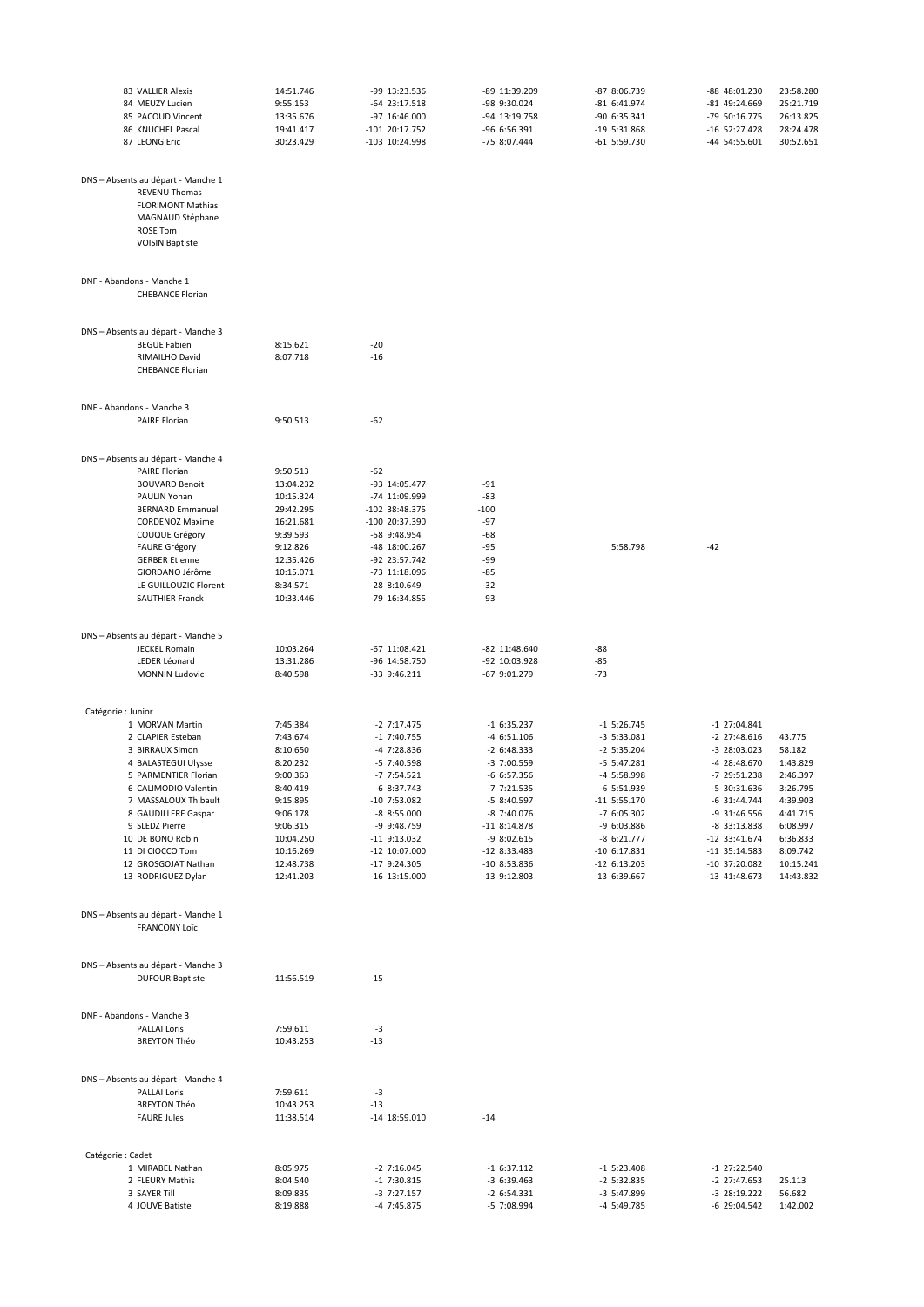| 83 VALLIER Alexis                          | 14:51.746 | -99 13:23.536   | -89 11:39.209    | -87 8:06.739   | -88 48:01.230   | 23:58.280 |
|--------------------------------------------|-----------|-----------------|------------------|----------------|-----------------|-----------|
| 84 MEUZY Lucien                            | 9:55.153  | -64 23:17.518   | -98 9:30.024     | $-816:31.974$  | -81 49:24.669   | 25:21.719 |
| 85 PACOUD Vincent                          | 13:35.676 | -97 16:46.000   | -94 13:19.758    | -90 6:35.341   | -79 50:16.775   | 26:13.825 |
| 86 KNUCHEL Pascal                          | 19:41.417 | -101 20:17.752  | -96 6:56.391     | $-19$ 5:31.868 | $-16$ 52:27.428 | 28:24.478 |
| 87 LEONG Eric                              | 30:23.429 | -103 10:24.998  | -75 8:07.444     | $-61$ 5:59.730 | -44 54:55.601   | 30:52.651 |
|                                            |           |                 |                  |                |                 |           |
|                                            |           |                 |                  |                |                 |           |
| DNS - Absents au départ - Manche 1         |           |                 |                  |                |                 |           |
| REVENU Thomas                              |           |                 |                  |                |                 |           |
| <b>FLORIMONT Mathias</b>                   |           |                 |                  |                |                 |           |
| MAGNAUD Stéphane                           |           |                 |                  |                |                 |           |
| <b>ROSE Tom</b>                            |           |                 |                  |                |                 |           |
| <b>VOISIN Baptiste</b>                     |           |                 |                  |                |                 |           |
|                                            |           |                 |                  |                |                 |           |
| DNF - Abandons - Manche 1                  |           |                 |                  |                |                 |           |
| <b>CHEBANCE Florian</b>                    |           |                 |                  |                |                 |           |
|                                            |           |                 |                  |                |                 |           |
| DNS - Absents au départ - Manche 3         |           |                 |                  |                |                 |           |
| <b>BEGUE Fabien</b>                        | 8:15.621  | $-20$           |                  |                |                 |           |
| RIMAILHO David                             | 8:07.718  | $-16$           |                  |                |                 |           |
| <b>CHEBANCE Florian</b>                    |           |                 |                  |                |                 |           |
|                                            |           |                 |                  |                |                 |           |
|                                            |           |                 |                  |                |                 |           |
| DNF - Abandons - Manche 3<br>PAIRE Florian | 9:50.513  | $-62$           |                  |                |                 |           |
|                                            |           |                 |                  |                |                 |           |
| DNS - Absents au départ - Manche 4         |           |                 |                  |                |                 |           |
| PAIRE Florian                              | 9:50.513  | $-62$           |                  |                |                 |           |
| <b>BOUVARD Benoit</b>                      | 13:04.232 | -93 14:05.477   | $-91$            |                |                 |           |
| PAULIN Yohan                               | 10:15.324 | -74 11:09.999   | $-83$            |                |                 |           |
| <b>BERNARD Emmanuel</b>                    | 29:42.295 | -102 38:48.375  | $-100$           |                |                 |           |
| <b>CORDENOZ Maxime</b>                     | 16:21.681 | -100 20:37.390  | $-97$            |                |                 |           |
|                                            |           |                 |                  |                |                 |           |
| COUQUE Grégory                             | 9:39.593  | -58 9:48.954    | $-68$            |                |                 |           |
| <b>FAURE Grégory</b>                       | 9:12.826  | -48 18:00.267   | $-95$            | 5:58.798       | $-42$           |           |
| <b>GERBER Etienne</b>                      | 12:35.426 | -92 23:57.742   | -99              |                |                 |           |
| GIORDANO Jérôme                            | 10:15.071 | -73 11:18.096   | $-85$            |                |                 |           |
| LE GUILLOUZIC Florent                      | 8:34.571  | -28 8:10.649    | -32              |                |                 |           |
| SAUTHIER Franck                            | 10:33.446 | -79 16:34.855   | $-93$            |                |                 |           |
|                                            |           |                 |                  |                |                 |           |
| DNS - Absents au départ - Manche 5         |           |                 |                  |                |                 |           |
| <b>JECKEL Romain</b>                       | 10:03.264 | $-67$ 11:08.421 | -82 11:48.640    | -88            |                 |           |
| LEDER Léonard                              | 13:31.286 | -96 14:58.750   | -92 10:03.928    | $-85$          |                 |           |
| <b>MONNIN Ludovic</b>                      | 8:40.598  | $-33$ 9:46.211  | -67 9:01.279     | $-73$          |                 |           |
|                                            |           |                 |                  |                |                 |           |
|                                            |           |                 |                  |                |                 |           |
| Catégorie : Junior                         |           |                 |                  |                |                 |           |
| 1 MORVAN Martin                            | 7:45.384  | $-2$ 7:17.475   | $-16:35.237$     | $-1$ 5:26.745  | $-1$ 27:04.841  |           |
| 2 CLAPIER Esteban                          | 7:43.674  | $-1$ 7:40.755   | $-46:51.106$     | $-3$ 5:33.081  | $-2$ 27:48.616  | 43.775    |
| 3 BIRRAUX Simon                            | 8:10.650  | -4 7:28.836     | $-26:48.333$     | $-2$ 5:35.204  | -3 28:03.023    | 58.182    |
| 4 BALASTEGUI Ulysse                        | 8:20.232  | $-5$ 7:40.598   | -3 7:00.559      | $-5$ 5:47.281  | -4 28:48.670    | 1:43.829  |
| 5 PARMENTIER Florian                       | 9:00.363  | $-77:54.521$    | $-66:57.356$     | -4 5:58.998    | -7 29:51.238    | 2:46.397  |
| 6 CALIMODIO Valentin                       | 8:40.419  | $-68:37.743$    | -7 7:21.535      | $-6$ 5:51.939  | -5 30:31.636    | 3:26.795  |
| 7 MASSALOUX Thibault                       | 9:15.895  | -10 7:53.082    | -5 8:40.597      | $-11$ 5:55.170 | -6 31:44.744    | 4:39.903  |
| 8 GAUDILLERE Gaspar                        | 9:06.178  | $-88:55.000$    | -8 7:40.076      | $-76:05.302$   | -9 31:46.556    | 4:41.715  |
| 9 SLEDZ Pierre                             | 9:06.315  | -9 9:48.759     | $-11$ 8:14.878   | -9 6:03.886    | -8 33:13.838    | 6:08.997  |
|                                            |           |                 |                  |                |                 |           |
| 10 DE BONO Robin                           | 10:04.250 | -11 9:13.032    | $-98:02.615$     | $-86:21.777$   | -12 33:41.674   | 6:36.833  |
| 11 DI CIOCCO Tom                           | 10:16.269 | -12 10:07.000   | $-12$ 8:33.483   | $-10$ 6:17.831 | -11 35:14.583   | 8:09.742  |
| 12 GROSGOJAT Nathan                        | 12:48.738 | $-179:24.305$   | -10 8:53.836     | $-12$ 6:13.203 | -10 37:20.082   | 10:15.241 |
| 13 RODRIGUEZ Dylan                         | 12:41.203 | $-16$ 13:15.000 | $-13$ $9:12.803$ | $-13$ 6:39.667 | $-13$ 41:48.673 | 14:43.832 |
|                                            |           |                 |                  |                |                 |           |
| DNS - Absents au départ - Manche 1         |           |                 |                  |                |                 |           |
| <b>FRANCONY Loïc</b>                       |           |                 |                  |                |                 |           |
|                                            |           |                 |                  |                |                 |           |
| DNS - Absents au départ - Manche 3         |           |                 |                  |                |                 |           |
| <b>DUFOUR Baptiste</b>                     | 11:56.519 | $-15$           |                  |                |                 |           |
|                                            |           |                 |                  |                |                 |           |
| DNF - Abandons - Manche 3                  |           |                 |                  |                |                 |           |
| PALLAI Loris                               | 7:59.611  | $-3$            |                  |                |                 |           |
| <b>BREYTON Théo</b>                        | 10:43.253 | $-13$           |                  |                |                 |           |
|                                            |           |                 |                  |                |                 |           |
| DNS - Absents au départ - Manche 4         |           |                 |                  |                |                 |           |
| PALLAI Loris                               | 7:59.611  | $-3$            |                  |                |                 |           |
| <b>BREYTON Théo</b>                        | 10:43.253 | $-13$           |                  |                |                 |           |
| <b>FAURE Jules</b>                         | 11:38.514 | $-14$ 18:59.010 | $-14$            |                |                 |           |
|                                            |           |                 |                  |                |                 |           |
| Catégorie : Cadet                          |           |                 |                  |                |                 |           |
| 1 MIRABEL Nathan                           | 8:05.975  | $-2$ 7:16.045   | $-16:37.112$     | $-1$ 5:23.408  | -1 27:22.540    |           |
| 2 FLEURY Mathis                            | 8:04.540  | $-1$ 7:30.815   | $-36:39.463$     | $-2$ 5:32.835  | -2 27:47.653    | 25.113    |
| 3 SAYER TIII                               | 8:09.835  | $-37:27.157$    | $-26:54.331$     | -3 5:47.899    | -3 28:19.222    | 56.682    |
| 4 JOUVE Batiste                            | 8:19.888  | -4 7:45.875     | -5 7:08.994      | -4 5:49.785    | -6 29:04.542    | 1:42.002  |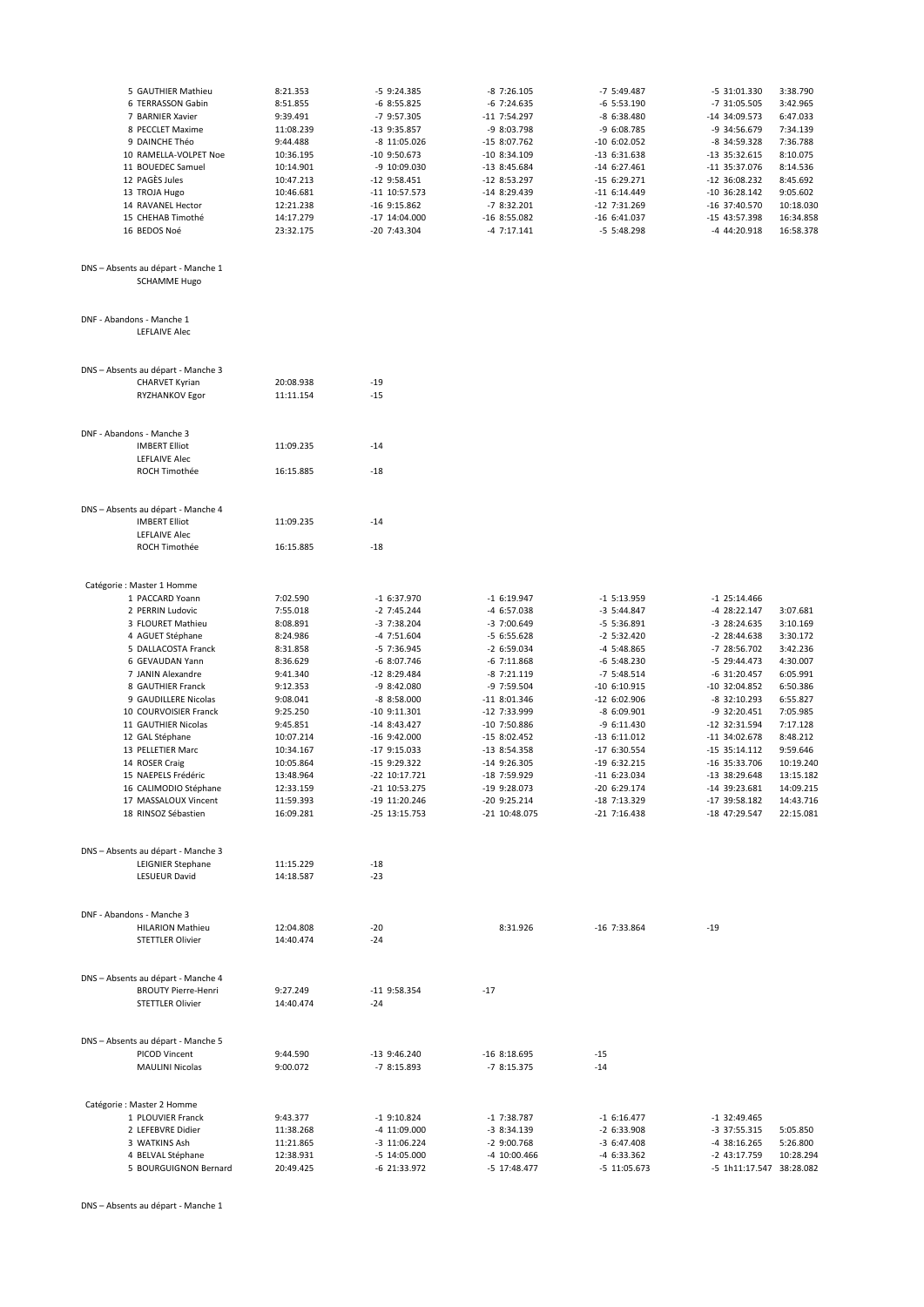| 5 GAUTHIER Mathieu                                        | 8:21.353  | $-5$ 9:24.385    | $-8$ 7:26.105  | $-7$ 5:49.487  | -5 31:01.330             | 3:38.790  |
|-----------------------------------------------------------|-----------|------------------|----------------|----------------|--------------------------|-----------|
| 6 TERRASSON Gabin                                         | 8:51.855  | $-68:55.825$     | $-6$ 7:24.635  | $-6$ 5:53.190  | -7 31:05.505             | 3:42.965  |
| 7 BARNIER Xavier                                          | 9:39.491  | -7 9:57.305      | $-11$ 7:54.297 | $-86:38.480$   | -14 34:09.573            | 6:47.033  |
| 8 PECCLET Maxime                                          | 11:08.239 | -13 9:35.857     | $-98:03.798$   | -9 6:08.785    | -9 34:56.679             | 7:34.139  |
|                                                           |           |                  |                |                |                          |           |
| 9 DAINCHE Théo                                            | 9:44.488  | $-8$ 11:05.026   | -15 8:07.762   | $-10$ 6:02.052 | -8 34:59.328             | 7:36.788  |
| 10 RAMELLA-VOLPET Noe                                     | 10:36.195 | $-10$ 9:50.673   | $-10$ 8:34.109 | $-13$ 6:31.638 | -13 35:32.615            | 8:10.075  |
| 11 BOUEDEC Samuel                                         | 10:14.901 | -9 10:09.030     | $-13$ 8:45.684 | $-14$ 6:27.461 | -11 35:37.076            | 8:14.536  |
| 12 PAGÈS Jules                                            | 10:47.213 | $-12$ 9:58.451   | $-12$ 8:53.297 | $-156:29.271$  | -12 36:08.232            | 8:45.692  |
| 13 TROJA Hugo                                             | 10:46.681 | -11 10:57.573    | -14 8:29.439   | $-116:14.449$  | $-10$ 36:28.142          | 9:05.602  |
|                                                           |           |                  |                |                |                          |           |
| 14 RAVANEL Hector                                         | 12:21.238 | -16 9:15.862     | $-78:32.201$   | $-12$ 7:31.269 | -16 37:40.570            | 10:18.030 |
| 15 CHEHAB Timothé                                         | 14:17.279 | -17 14:04.000    | $-16$ 8:55.082 | $-16$ 6:41.037 | -15 43:57.398            | 16:34.858 |
| 16 BEDOS Noé                                              | 23:32.175 | -20 7:43.304     | $-47:17.141$   | $-5$ 5:48.298  | -4 44:20.918             | 16:58.378 |
|                                                           |           |                  |                |                |                          |           |
| DNS - Absents au départ - Manche 1<br><b>SCHAMME Hugo</b> |           |                  |                |                |                          |           |
|                                                           |           |                  |                |                |                          |           |
| DNF - Abandons - Manche 1<br><b>LEFLAIVE Alec</b>         |           |                  |                |                |                          |           |
| DNS - Absents au départ - Manche 3                        |           |                  |                |                |                          |           |
| CHARVET Kyrian                                            | 20:08.938 | $-19$            |                |                |                          |           |
|                                                           |           |                  |                |                |                          |           |
| RYZHANKOV Egor                                            | 11:11.154 | $-15$            |                |                |                          |           |
|                                                           |           |                  |                |                |                          |           |
| DNF - Abandons - Manche 3                                 |           |                  |                |                |                          |           |
| <b>IMBERT Elliot</b>                                      | 11:09.235 | -14              |                |                |                          |           |
| LEFLAIVE Alec                                             |           |                  |                |                |                          |           |
| ROCH Timothée                                             | 16:15.885 | $-18$            |                |                |                          |           |
|                                                           |           |                  |                |                |                          |           |
|                                                           |           |                  |                |                |                          |           |
| DNS - Absents au départ - Manche 4                        |           |                  |                |                |                          |           |
| <b>IMBERT Elliot</b>                                      | 11:09.235 | $-14$            |                |                |                          |           |
| LEFLAIVE Alec                                             |           |                  |                |                |                          |           |
| ROCH Timothée                                             | 16:15.885 | $-18$            |                |                |                          |           |
|                                                           |           |                  |                |                |                          |           |
| Catégorie : Master 1 Homme                                |           |                  |                |                |                          |           |
|                                                           |           |                  |                |                |                          |           |
| 1 PACCARD Yoann                                           | 7:02.590  | $-16:37.970$     | $-16:19.947$   | $-1$ 5:13.959  | $-1$ 25:14.466           |           |
| 2 PERRIN Ludovic                                          | 7:55.018  | $-2$ 7:45.244    | -4 6:57.038    | $-3$ 5:44.847  | -4 28:22.147             | 3:07.681  |
| 3 FLOURET Mathieu                                         | 8:08.891  | $-37:38.204$     | -3 7:00.649    | $-5$ 5:36.891  | -3 28:24.635             | 3:10.169  |
| 4 AGUET Stéphane                                          | 8:24.986  | $-47:51.604$     | $-56:55.628$   | $-2$ 5:32.420  | -2 28:44.638             | 3:30.172  |
| 5 DALLACOSTA Franck                                       | 8:31.858  | -5 7:36.945      | $-26:59.034$   | $-4$ 5:48.865  | -7 28:56.702             | 3:42.236  |
| 6 GEVAUDAN Yann                                           | 8:36.629  | $-68:07.746$     | $-6$ 7:11.868  | $-6$ 5:48.230  | -5 29:44.473             | 4:30.007  |
|                                                           |           |                  |                |                |                          |           |
| 7 JANIN Alexandre                                         | 9:41.340  | $-128:29.484$    | $-87:21.119$   | $-7$ 5:48.514  | $-6$ 31:20.457           | 6:05.991  |
| 8 GAUTHIER Franck                                         | 9:12.353  | $-98:2.080$      | -9 7:59.504    | $-10$ 6:10.915 | -10 32:04.852            | 6:50.386  |
| 9 GAUDILLERE Nicolas                                      | 9:08.041  | $-88:58.000$     | $-11$ 8:01.346 | $-12$ 6:02.906 | -8 32:10.293             | 6:55.827  |
| 10 COURVOISIER Franck                                     | 9:25.250  | $-10$ $9:11.301$ | -12 7:33.999   | $-86:09.901$   | -9 32:20.451             | 7:05.985  |
| 11 GAUTHIER Nicolas                                       | 9:45.851  | $-14$ 8:43.427   | $-10$ 7:50.886 | $-96:11.430$   | -12 32:31.594            | 7:17.128  |
| 12 GAL Stéphane                                           | 10:07.214 | $-16$ 9:42.000   | $-158:02.452$  | $-13$ 6:11.012 | $-11$ 34:02.678          | 8:48.212  |
|                                                           |           |                  |                |                |                          |           |
| 13 PELLETIER Marc                                         | 10:34.167 | $-179:15.033$    | -13 8:54.358   | -17 6:30.554   | -15 35:14.112            | 9:59.646  |
| 14 ROSER Craig                                            | 10:05.864 | -15 9:29.322     | $-14$ 9:26.305 | $-19$ 6:32.215 | -16 35:33.706            | 10:19.240 |
| 15 NAEPELS Frédéric                                       | 13:48.964 | -22 10:17.721    | -18 7:59.929   | $-116:23.034$  | -13 38:29.648            | 13:15.182 |
| 16 CALIMODIO Stéphane                                     | 12:33.159 | -21 10:53.275    | -19 9:28.073   | $-20$ 6:29.174 | -14 39:23.681            | 14:09.215 |
| 17 MASSALOUX Vincent                                      | 11:59.393 | -19 11:20.246    | -20 9:25.214   | -18 7:13.329   | -17 39:58.182            | 14:43.716 |
|                                                           |           |                  |                |                |                          |           |
| 18 RINSOZ Sébastien                                       | 16:09.281 | $-25$ 13:15.753  | -21 10:48.075  | $-21$ 7:16.438 | -18 47:29.547            | 22:15.081 |
|                                                           |           |                  |                |                |                          |           |
| DNS - Absents au départ - Manche 3                        |           |                  |                |                |                          |           |
| <b>LEIGNIER Stephane</b>                                  | 11:15.229 | $-18$            |                |                |                          |           |
| LESUEUR David                                             | 14:18.587 | $-23$            |                |                |                          |           |
|                                                           |           |                  |                |                |                          |           |
| DNF - Abandons - Manche 3                                 |           |                  |                |                |                          |           |
| <b>HILARION Mathieu</b>                                   | 12:04.808 | $-20$            | 8:31.926       | $-16$ 7:33.864 | $-19$                    |           |
| <b>STETTLER Olivier</b>                                   | 14:40.474 | $-24$            |                |                |                          |           |
|                                                           |           |                  |                |                |                          |           |
|                                                           |           |                  |                |                |                          |           |
| DNS - Absents au départ - Manche 4                        |           |                  |                |                |                          |           |
| <b>BROUTY Pierre-Henri</b>                                | 9:27.249  | $-11$ 9:58.354   | $-17$          |                |                          |           |
| <b>STETTLER Olivier</b>                                   | 14:40.474 | $-24$            |                |                |                          |           |
|                                                           |           |                  |                |                |                          |           |
|                                                           |           |                  |                |                |                          |           |
| DNS - Absents au départ - Manche 5                        |           |                  |                |                |                          |           |
| PICOD Vincent                                             | 9:44.590  | $-13$ 9:46.240   | $-16$ 8:18.695 | $-15$          |                          |           |
| <b>MAULINI Nicolas</b>                                    | 9:00.072  | $-78:15.893$     | $-78:15.375$   | $-14$          |                          |           |
|                                                           |           |                  |                |                |                          |           |
| Catégorie : Master 2 Homme                                |           |                  |                |                |                          |           |
| 1 PLOUVIER Franck                                         | 9:43.377  | $-1$ 9:10.824    | $-1$ 7:38.787  | $-16:16.477$   | $-1$ 32:49.465           |           |
|                                                           |           |                  |                |                |                          | 5:05.850  |
| 2 LEFEBVRE Didier                                         | 11:38.268 | -4 11:09.000     | $-38:34.139$   | $-2$ 6:33.908  | -3 37:55.315             |           |
| 3 WATKINS Ash                                             | 11:21.865 | $-3$ 11:06.224   | $-2$ 9:00.768  | $-3$ 6:47.408  | -4 38:16.265             | 5:26.800  |
| 4 BELVAL Stéphane                                         | 12:38.931 | $-5$ 14:05.000   | -4 10:00.466   | -4 6:33.362    | -2 43:17.759             | 10:28.294 |
| 5 BOURGUIGNON Bernard                                     | 20:49.425 | -6 21:33.972     | -5 17:48.477   | $-5$ 11:05.673 | -5 1h11:17.547 38:28.082 |           |

DNS - Absents au départ - Manche 1